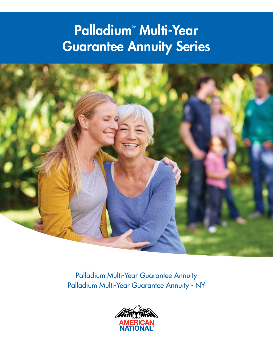# Palladium® Multi-Year Guarantee Annuity Series



Palladium Multi-Year Guarantee Annuity Palladium Multi-Year Guarantee Annuity - NY

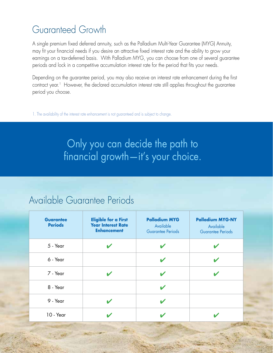# Guaranteed Growth

A single premium fixed deferred annuity, such as the Palladium Multi-Year Guarantee (MYG) Annuity, may fit your financial needs if you desire an attractive fixed interest rate and the ability to grow your earnings on a tax-deferred basis. With Palladium MYG, you can choose from one of several guarantee periods and lock in a competitive accumulation interest rate for the period that fits your needs.

Depending on the guarantee period, you may also receive an interest rate enhancement during the first contract year.<sup>1</sup> However, the declared accumulation interest rate still applies throughout the guarantee period you choose.

1. The availability of the interest rate enhancement is not guaranteed and is subject to change.

Only you can decide the path to financial growth—it's your choice.

#### Available Guarantee Periods

2

| <b>Guarantee</b><br><b>Periods</b> | <b>Eligible for a First</b><br><b>Year Interest Rate</b><br><b>Enhancement</b> | <b>Palladium MYG</b><br>Available<br><b>Guarantee Periods</b> | <b>Palladium MYG-NY</b><br>Available<br><b>Guarantee Periods</b> |
|------------------------------------|--------------------------------------------------------------------------------|---------------------------------------------------------------|------------------------------------------------------------------|
| 5 - Year                           |                                                                                |                                                               |                                                                  |
| 6 - Year                           |                                                                                |                                                               |                                                                  |
| 7 - Year                           | V                                                                              |                                                               |                                                                  |
| 8 - Year                           |                                                                                |                                                               |                                                                  |
| 9 - Year                           |                                                                                |                                                               |                                                                  |
| 10 - Year                          |                                                                                |                                                               |                                                                  |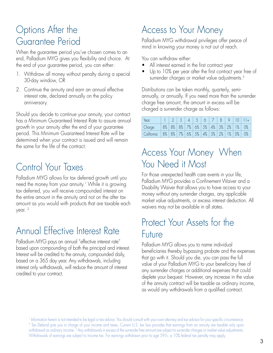#### Options After the Guarantee Period

When the guarantee period you've chosen comes to an end, Palladium MYG gives you flexibility and choice. At the end of your guarantee period, you can either:

- 1. Withdraw all money without penalty during a special 30-day window, OR
- 2. Continue the annuity and earn an annual effective interest rate, declared annually on the policy anniversary.

Should you decide to continue your annuity, your contract has a Minimum Guaranteed Interest Rate to assure annual growth in your annuity after the end of your guarantee period. This Minimum Guaranteed Interest Rate will be determined when your contract is issued and will remain the same for the life of the contract.

## Control Your Taxes

Palladium MYG allows for tax deferred growth until you need the money from your annuity.<sup>1</sup> While it is growing tax deferred, you will receive compounded interest on the entire amount in the annuity and not on the after tax amount as you would with products that are taxable each year. 2

## Annual Effective Interest Rate

Palladium MYG pays an annual "effective interest rate" based upon compounding of both the principal and interest. Interest will be credited to the annuity, compounded daily, based on a 365 day year. Any withdrawals, including interest only withdrawals, will reduce the amount of interest credited to your contract.

## Access to Your Money

Palladium MYG withdrawal privileges offer peace of mind in knowing your money is not out of reach.

You can withdraw either:

- All interest earned in the first contract year
- Up to 10% per year after the first contract year free of surrender charges or market value adjustments.<sup>3</sup>

Distributions can be taken monthly, quarterly, semiannually, or annually. If you need more than the surrender charge free amount, the amount in excess will be charged a surrender charge as follows:

| Year:                                        |  |  |  |  |  | $1 \mid 2 \mid 3 \mid 4 \mid 5 \mid 6 \mid 7 \mid 8 \mid 9 \mid 10 \mid 11+$ |
|----------------------------------------------|--|--|--|--|--|------------------------------------------------------------------------------|
| Charge:                                      |  |  |  |  |  | 8%   8%   8%   7%   6%   5%   4%   3%   2%   1%   0%                         |
| California: 8% 8% 7% 6% 5% 4% 3% 2% 1% 0% 0% |  |  |  |  |  |                                                                              |

#### Access Your Money When You Need it Most

For those unexpected health care events in your life, Palladium MYG provides a Confinement Waiver and a Disability Waiver that allows you to have access to your money without any surrender charges, any applicable market value adjustments, or excess interest deduction. All waivers may not be available in all states.

#### Protect Your Assets for the Future

Palladium MYG allows you to name individual beneficiaries thereby bypassing probate and the expenses that go with it. Should you die, you can pass the full value of your Palladium MYG to your beneficiary free of any surrender charges or additional expenses that could deplete your bequest. However, any increase in the value of the annuity contract will be taxable as ordinary income, as would any withdrawals from a qualified contract.

<sup>1</sup> Information herein is not intended to be legal or tax advice. You should consult with your own attorney and tax advisor for your specific circumstance. <sup>2</sup> Tax Deferral puts you in charge of your income and taxes. Current U.S. tax law provides that earnings from an annuity are taxable only upon withdrawal as ordinary income.<sup>3</sup> Any withdrawals in excess of the surrender free amount are subject to surrender charges or market value adjustments. Withdrawals of earnings are subject to income tax. For earnings withdrawn prior to age 59½, a 10% federal tax penalty may apply.